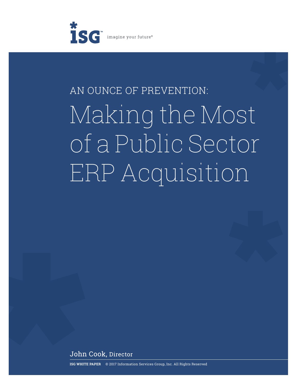

# AN OUNCE OF PREVENTION: Making the Most of a Public Sector ERP Acquisition

John Cook, Director

**ISG WHITE PAPER** © 2017 Information Services Group, Inc. All Rights Reserved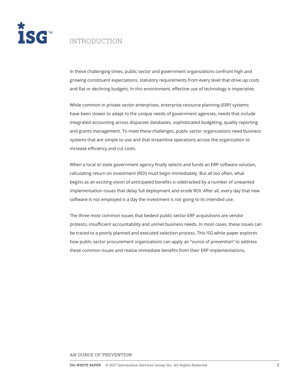

## INTRODUCTION

In these challenging times, public sector and government organizations confront high and growing constituent expectations, statutory requirements from every level that drive up costs and flat or declining budgets. In this environment, effective use of technology is imperative.

While common in private sector enterprises, enterprise resource planning (ERP) systems have been slower to adapt to the unique needs of government agencies, needs that include integrated accounting across disparate databases, sophisticated budgeting, quality reporting and grants management. To meet these challenges, public sector organizations need business systems that are simple to use and that streamline operations across the organization to increase efficiency and cut costs.

When a local or state government agency finally selects and funds an ERP software solution, calculating return on investment (ROI) must begin immediately. But all too often, what begins as an exciting vision of anticipated benefits is sidetracked by a number of unwanted implementation issues that delay full deployment and erode ROI. After all, every day that new software is not employed is a day the investment is not going to its intended use.

The three most common issues that bedevil public sector ERP acquisitions are vendor protests, insufficient accountability and unmet business needs. In most cases, these issues can be traced to a poorly planned and executed selection process. This ISG white paper explores how public sector procurement organizations can apply an "ounce of prevention" to address these common issues and realize immediate benefits from their ERP implementations.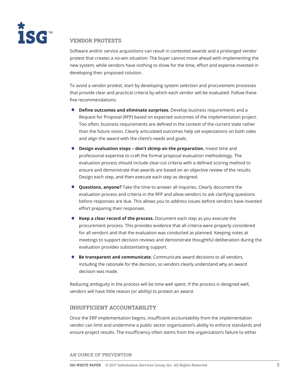

### **VENDOR PROTESTS**

Software and/or service acquisitions can result in contested awards and a prolonged vendor protest that creates a no-win situation: The buyer cannot move ahead with implementing the new system, while vendors have nothing to show for the time, effort and expense invested in developing their proposed solution.

To avoid a vendor protest, start by developing system selection and procurement processes that provide clear and practical criteria by which each vendor will be evaluated. Follow these five recommendations:

- **Define outcomes and eliminate surprises.** Develop business requirements and a Request for Proposal (RFP) based on expected outcomes of the implementation project. Too often, business requirements are defined in the context of the current state rather than the future vision. Clearly articulated outcomes help set expectations on both sides and align the award with the client's needs and goals.
- **Design evaluation steps don't skimp on the preparation.** Invest time and professional expertise to craft the formal proposal evaluation methodology. The evaluation process should include clear-cut criteria with a defined scoring method to ensure and demonstrate that awards are based on an objective review of the results. Design each step, and then execute each step as designed.
- **Questions, anyone?** Take the time to answer all inquiries. Clearly document the evaluation process and criteria in the RFP and allow vendors to ask clarifying questions before responses are due. This allows you to address issues before vendors have invested effort preparing their responses.
- **Keep a clear record of the process.** Document each step as you execute the procurement process. This provides evidence that all criteria were properly considered for all vendors and that the evaluation was conducted as planned. Keeping notes at meetings to support decision reviews and demonstrate thoughtful deliberation during the evaluation provides substantiating support.
- **Be transparent and communicate.** Communicate award decisions to all vendors, including the rationale for the decision, so vendors clearly understand why an award decision was made.

Reducing ambiguity in the process will be time well spent. If the process is designed well, vendors will have little reason (or ability) to protest an award.

#### **INSUFFICIENT ACCOUNTABILITY**

Once the ERP implementation begins, insufficient accountability from the implementation vendor can limit and undermine a public sector organization's ability to enforce standards and ensure project results. The insufficiency often stems from the organization's failure to either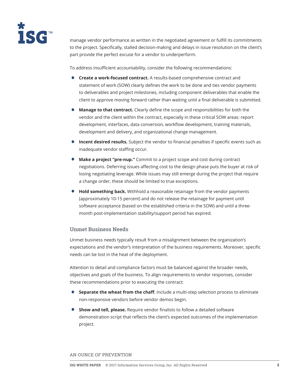

manage vendor performance as written in the negotiated agreement or fulfill its commitments to the project. Specifically, stalled decision-making and delays in issue resolution on the client's part provide the perfect excuse for a vendor to underperform.

To address insufficient accountability, consider the following recommendations:

- **Create a work-focused contract.** A results-based comprehensive contract and statement of work (SOW) clearly defines the work to be done and ties vendor payments to deliverables and project milestones, including component deliverables that enable the client to approve moving forward rather than waiting until a final deliverable is submitted.
- **Manage to that contract.** Clearly define the scope and responsibilities for both the vendor and the client within the contract, especially in these critical SOW areas: report development, interfaces, data conversion, workflow development, training materials, development and delivery, and organizational change management.
- **Incent desired results.** Subject the vendor to financial penalties if specific events such as inadequate vendor staffing occur.
- **Make a project "pre-nup."** Commit to a project scope and cost during contract negotiations. Deferring issues affecting cost to the design phase puts the buyer at risk of losing negotiating leverage. While issues may still emerge during the project that require a change order, these should be limited to true exceptions.
- **Hold something back.** Withhold a reasonable retainage from the vendor payments (approximately 10-15 percent) and do not release the retainage for payment until software acceptance (based on the established criteria in the SOW) and until a threemonth post-implementation stability/support period has expired.

#### **Unmet Business Needs**

Unmet business needs typically result from a misalignment between the organization's expectations and the vendor's interpretation of the business requirements. Moreover, specific needs can be lost in the heat of the deployment.

Attention to detail and compliance factors must be balanced against the broader needs, objectives and goals of the business. To align requirements to vendor responses, consider these recommendations prior to executing the contract:

- **Separate the wheat from the chaff.** Include a multi-step selection process to eliminate non-responsive vendors before vendor demos begin.
- **Show and tell, please.** Require vendor finalists to follow a detailed software demonstration script that reflects the client's expected outcomes of the implementation project.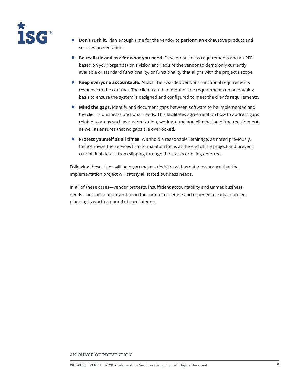

- **Don't rush it.** Plan enough time for the vendor to perform an exhaustive product and services presentation.
- **Be realistic and ask for what you need.** Develop business requirements and an RFP based on your organization's vision and require the vendor to demo only currently available or standard functionality, or functionality that aligns with the project's scope.
- **Keep everyone accountable.** Attach the awarded vendor's functional requirements response to the contract. The client can then monitor the requirements on an ongoing basis to ensure the system is designed and configured to meet the client's requirements.
- **Mind the gaps.** Identify and document gaps between software to be implemented and the client's business/functional needs. This facilitates agreement on how to address gaps related to areas such as customization, work-around and elimination of the requirement, as well as ensures that no gaps are overlooked.
- **Protect yourself at all times.** Withhold a reasonable retainage, as noted previously, to incentivize the services firm to maintain focus at the end of the project and prevent crucial final details from slipping through the cracks or being deferred.

Following these steps will help you make a decision with greater assurance that the implementation project will satisfy all stated business needs.

In all of these cases—vendor protests, insufficient accountability and unmet business needs—an ounce of prevention in the form of expertise and experience early in project planning is worth a pound of cure later on.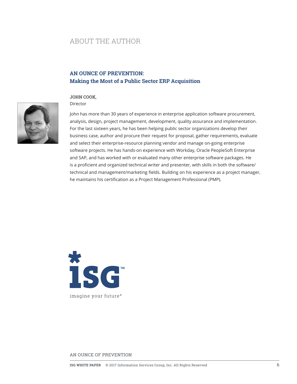## ABOUT THE AUTHOR

## **AN OUNCE OF PREVENTION: Making the Most of a Public Sector ERP Acquisition**

#### **JOHN COOK,**

Director



John has more than 30 years of experience in enterprise application software procurement, analysis, design, project management, development, quality assurance and implementation. For the last sixteen years, he has been helping public sector organizations develop their business case, author and procure their request for proposal, gather requirements, evaluate and select their enterprise-resource planning vendor and manage on-going enterprise software projects. He has hands-on experience with Workday, Oracle PeopleSoft Enterprise and SAP, and has worked with or evaluated many other enterprise software packages. He is a proficient and organized technical writer and presenter, with skills in both the software/ technical and management/marketing fields. Building on his experience as a project manager, he maintains his certification as a Project Management Professional (PMP).